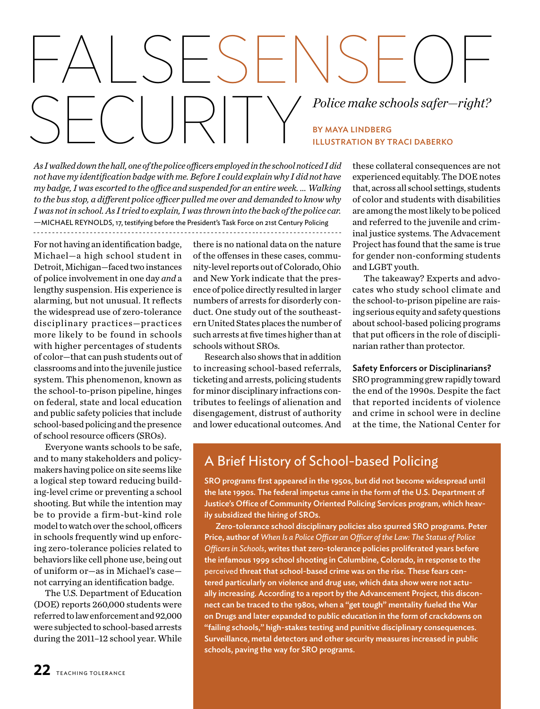# *Police make schools safer—right?* BY MAYA LINDBERG ILLUSTRATION BY TRACI DABERKO FALSESENSEOF SECURITY

*As I walked down the hall, one of the police o!cers employed in the school noticed I did not have my identification badge with me. Before I could explain why I did not have my badge, I was escorted to the o!ce and suspended for an entire week. … Walking to the bus stop, a di"erent police o!cer pulled me over and demanded to know why I was not in school. As I tried to explain, I was thrown into the back of the police car.*  —MICHAEL REYNOLDS, 17, testifying before the President's Task Force on 21st Century Policing

For not having an identification badge, Michael—a high school student in Detroit, Michigan—faced two instances of police involvement in one day *and* a lengthy suspension. His experience is alarming, but not unusual. It reflects the widespread use of zero-tolerance disciplinary practices—practices more likely to be found in schools with higher percentages of students of color—that can push students out of classrooms and into the juvenile justice system. This phenomenon, known as the school-to-prison pipeline, hinges on federal, state and local education and public safety policies that include school-based policing and the presence of school resource officers (SROs).

Everyone wants schools to be safe, and to many stakeholders and policymakers having police on site seems like a logical step toward reducing building-level crime or preventing a school shooting. But while the intention may be to provide a firm-but-kind role model to watch over the school, officers in schools frequently wind up enforcing zero-tolerance policies related to behaviors like cell phone use, being out of uniform or—as in Michael's case not carrying an identification badge.

The U.S. Department of Education (DOE) reports 260,000 students were referred to law enforcement and 92,000 were subjected to school-based arrests during the 2011–12 school year. While there is no national data on the nature of the offenses in these cases, community-level reports out of Colorado, Ohio and New York indicate that the presence of police directly resulted in larger numbers of arrests for disorderly conduct. One study out of the southeastern United States places the number of such arrests at five times higher than at schools without SROs.

Research also shows that in addition to increasing school-based referrals, ticketing and arrests, policing students for minor disciplinary infractions contributes to feelings of alienation and disengagement, distrust of authority and lower educational outcomes. And these collateral consequences are not experienced equitably. The DOE notes that, across all school settings, students of color and students with disabilities are among the most likely to be policed and referred to the juvenile and criminal justice systems. The Advacement Project has found that the same is true for gender non-conforming students and LGBT youth.

The takeaway? Experts and advocates who study school climate and the school-to-prison pipeline are raising serious equity and safety questions about school-based policing programs that put officers in the role of disciplinarian rather than protector.

#### Safety Enforcers or Disciplinarians?

SRO programming grew rapidly toward the end of the 1990s. Despite the fact that reported incidents of violence and crime in school were in decline at the time, the National Center for

## A Brief History of School-based Policing

SRO programs first appeared in the 1950s, but did not become widespread until the late 1990s. The federal impetus came in the form of the U.S. Department of Justice's Office of Community Oriented Policing Services program, which heavily subsidized the hiring of SROs.

Zero-tolerance school disciplinary policies also spurred SRO programs. Peter Price, author of *When Is a Police O!cer an O!cer of the Law: The Status of Police O!cers in Schools*, writes that zero-tolerance policies proliferated years before the infamous 1999 school shooting in Columbine, Colorado, in response to the perceived threat that school-based crime was on the rise. These fears centered particularly on violence and drug use, which data show were not actually increasing. According to a report by the Advancement Project, this disconnect can be traced to the 1980s, when a "get tough" mentality fueled the War on Drugs and later expanded to public education in the form of crackdowns on "failing schools," high-stakes testing and punitive disciplinary consequences. Surveillance, metal detectors and other security measures increased in public schools, paving the way for SRO programs.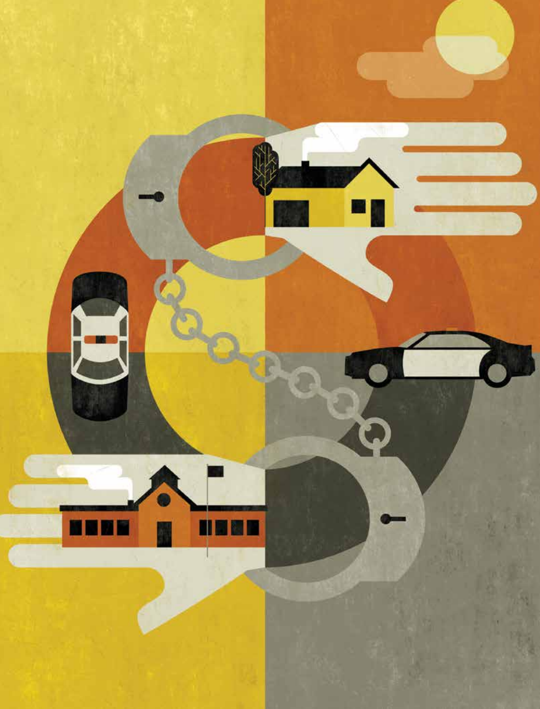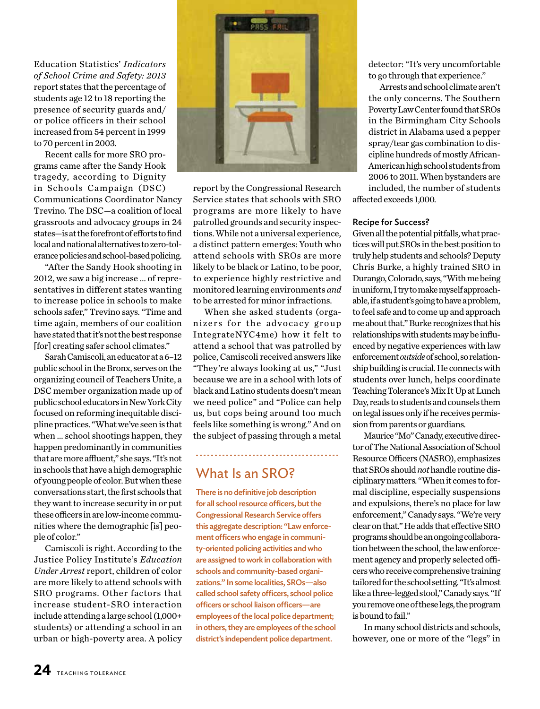Education Statistics' *Indicators of School Crime and Safety: 2013* report states that the percentage of students age 12 to 18 reporting the presence of security guards and/ or police officers in their school increased from 54 percent in 1999 to 70 percent in 2003.

Recent calls for more SRO programs came after the Sandy Hook tragedy, according to Dignity in Schools Campaign (DSC) Communications Coordinator Nancy Trevino. The DSC—a coalition of local grassroots and advocacy groups in 24 states-is at the forefront of efforts to find local and national alternatives to zero-tolerance policies and school-based policing.

"After the Sandy Hook shooting in 2012, we saw a big increase … of representatives in different states wanting to increase police in schools to make schools safer," Trevino says. "Time and time again, members of our coalition have stated that it's not the best response [for] creating safer school climates."

Sarah Camiscoli, an educator at a 6–12 public school in the Bronx, serves on the organizing council of Teachers Unite, a DSC member organization made up of public school educators in New York City focused on reforming inequitable discipline practices. "What we've seen is that when … school shootings happen, they happen predominantly in communities that are more affluent," she says. "It's not in schools that have a high demographic of young people of color. But when these conversations start, the first schools that they want to increase security in or put these officers in are low-income communities where the demographic [is] people of color."

Camiscoli is right. According to the Justice Policy Institute's *Education Under Arrest* report, children of color are more likely to attend schools with SRO programs. Other factors that increase student-SRO interaction include attending a large school (1,000+ students) or attending a school in an urban or high-poverty area. A policy



report by the Congressional Research Service states that schools with SRO programs are more likely to have patrolled grounds and security inspections. While not a universal experience, a distinct pattern emerges: Youth who attend schools with SROs are more likely to be black or Latino, to be poor, to experience highly restrictive and monitored learning environments *and* to be arrested for minor infractions.

When she asked students (organizers for the advocacy group IntegrateNYC4me) how it felt to attend a school that was patrolled by police, Camiscoli received answers like "They're always looking at us," "Just because we are in a school with lots of black and Latino students doesn't mean we need police" and "Police can help us, but cops being around too much feels like something is wrong." And on the subject of passing through a metal

## What Is an SRO?

There is no definitive job description for all school resource officers, but the **Congressional Research Service offers** this aggregate description: "Law enforcement officers who engage in community-oriented policing activities and who are assigned to work in collaboration with schools and community-based organizations." In some localities, SROs—also called school safety officers, school police officers or school liaison officers-are employees of the local police department; in others, they are employees of the school district's independent police department.

detector: "It's very uncomfortable to go through that experience."

Arrests and school climate aren't the only concerns. The Southern Poverty Law Center found that SROs in the Birmingham City Schools district in Alabama used a pepper spray/tear gas combination to discipline hundreds of mostly African-American high school students from 2006 to 2011. When bystanders are included, the number of students affected exceeds 1,000.

### Recipe for Success?

Given all the potential pitfalls, what practices will put SROs in the best position to truly help students and schools? Deputy Chris Burke, a highly trained SRO in Durango, Colorado, says, "With me being in uniform, I try to make myself approachable, if a student's going to have a problem, to feel safe and to come up and approach me about that." Burke recognizes that his relationships with students may be influenced by negative experiences with law enforcement *outside* of school, so relationship building is crucial. He connects with students over lunch, helps coordinate Teaching Tolerance's Mix It Up at Lunch Day, reads to students and counsels them on legal issues only if he receives permission from parents or guardians.

Maurice "Mo" Canady, executive director of The National Association of School Resource Officers (NASRO), emphasizes that SROs should *not* handle routine disciplinary matters. "When it comes to formal discipline, especially suspensions and expulsions, there's no place for law enforcement," Canady says. "We're very clear on that." He adds that effective SRO programs should be an ongoing collaboration between the school, the law enforcement agency and properly selected officers who receive comprehensive training tailored for the school setting. "It's almost like a three-legged stool," Canady says. "If you remove one of these legs, the program is bound to fail."

In many school districts and schools, however, one or more of the "legs" in